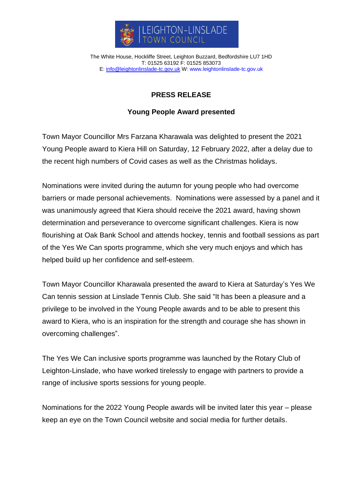

The White House, Hockliffe Street, Leighton Buzzard, Bedfordshire LU7 1HD T: 01525 63192 F: 01525 853073 E: [info@leightonlinslade-tc.gov.uk](mailto:bookings@leightonlinslade-tc.gov.uk) W: [www.leightonlinslade-tc.gov.uk](http://www.leightonlinslade-tc.gov.uk/)

## **PRESS RELEASE**

## **Young People Award presented**

Town Mayor Councillor Mrs Farzana Kharawala was delighted to present the 2021 Young People award to Kiera Hill on Saturday, 12 February 2022, after a delay due to the recent high numbers of Covid cases as well as the Christmas holidays.

Nominations were invited during the autumn for young people who had overcome barriers or made personal achievements. Nominations were assessed by a panel and it was unanimously agreed that Kiera should receive the 2021 award, having shown determination and perseverance to overcome significant challenges. Kiera is now flourishing at Oak Bank School and attends hockey, tennis and football sessions as part of the Yes We Can sports programme, which she very much enjoys and which has helped build up her confidence and self-esteem.

Town Mayor Councillor Kharawala presented the award to Kiera at Saturday's Yes We Can tennis session at Linslade Tennis Club. She said "It has been a pleasure and a privilege to be involved in the Young People awards and to be able to present this award to Kiera, who is an inspiration for the strength and courage she has shown in overcoming challenges".

The Yes We Can inclusive sports programme was launched by the Rotary Club of Leighton-Linslade, who have worked tirelessly to engage with partners to provide a range of inclusive sports sessions for young people.

Nominations for the 2022 Young People awards will be invited later this year – please keep an eye on the Town Council website and social media for further details.